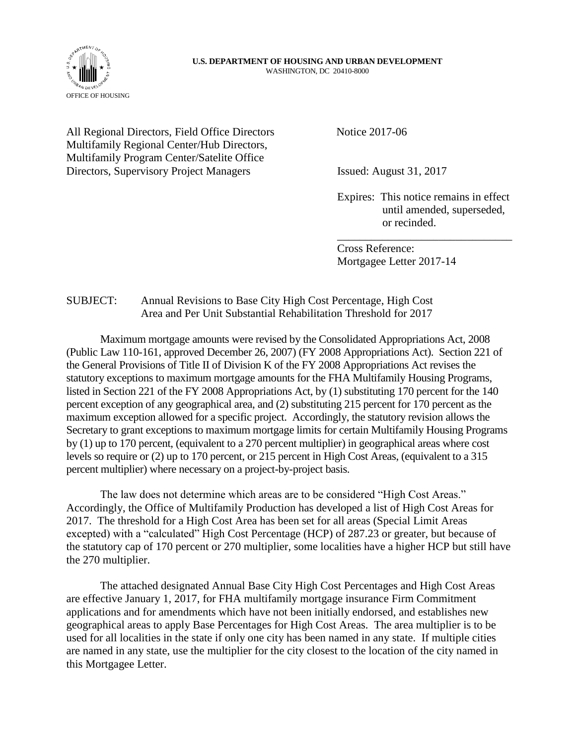#### **U.S. DEPARTMENT OF HOUSING AND URBAN DEVELOPMENT** WASHINGTON, DC 20410-8000



All Regional Directors, Field Office Directors Notice 2017-06 Multifamily Regional Center/Hub Directors, Multifamily Program Center/Satelite Office Directors, Supervisory Project Managers Issued: August 31, 2017

Expires: This notice remains in effect until amended, superseded, or recinded.

\_\_\_\_\_\_\_\_\_\_\_\_\_\_\_\_\_\_\_\_\_\_\_\_\_\_\_\_\_\_\_

Cross Reference: Mortgagee Letter 2017-14

## SUBJECT: Annual Revisions to Base City High Cost Percentage, High Cost Area and Per Unit Substantial Rehabilitation Threshold for 2017

Maximum mortgage amounts were revised by the Consolidated Appropriations Act, 2008 (Public Law 110-161, approved December 26, 2007) (FY 2008 Appropriations Act). Section 221 of the General Provisions of Title II of Division K of the FY 2008 Appropriations Act revises the statutory exceptions to maximum mortgage amounts for the FHA Multifamily Housing Programs, listed in Section 221 of the FY 2008 Appropriations Act, by (1) substituting 170 percent for the 140 percent exception of any geographical area, and (2) substituting 215 percent for 170 percent as the maximum exception allowed for a specific project. Accordingly, the statutory revision allows the Secretary to grant exceptions to maximum mortgage limits for certain Multifamily Housing Programs by (1) up to 170 percent, (equivalent to a 270 percent multiplier) in geographical areas where cost levels so require or (2) up to 170 percent, or 215 percent in High Cost Areas, (equivalent to a 315 percent multiplier) where necessary on a project-by-project basis.

The law does not determine which areas are to be considered "High Cost Areas." Accordingly, the Office of Multifamily Production has developed a list of High Cost Areas for 2017. The threshold for a High Cost Area has been set for all areas (Special Limit Areas excepted) with a "calculated" High Cost Percentage (HCP) of 287.23 or greater, but because of the statutory cap of 170 percent or 270 multiplier, some localities have a higher HCP but still have the 270 multiplier.

The attached designated Annual Base City High Cost Percentages and High Cost Areas are effective January 1, 2017, for FHA multifamily mortgage insurance Firm Commitment applications and for amendments which have not been initially endorsed, and establishes new geographical areas to apply Base Percentages for High Cost Areas. The area multiplier is to be used for all localities in the state if only one city has been named in any state. If multiple cities are named in any state, use the multiplier for the city closest to the location of the city named in this Mortgagee Letter.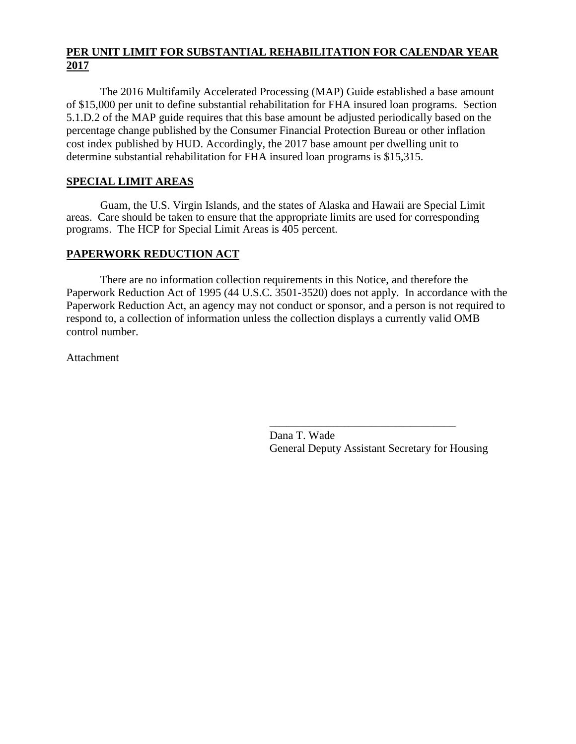## **PER UNIT LIMIT FOR SUBSTANTIAL REHABILITATION FOR CALENDAR YEAR 2017**

The 2016 Multifamily Accelerated Processing (MAP) Guide established a base amount of \$15,000 per unit to define substantial rehabilitation for FHA insured loan programs. Section 5.1.D.2 of the MAP guide requires that this base amount be adjusted periodically based on the percentage change published by the Consumer Financial Protection Bureau or other inflation cost index published by HUD. Accordingly, the 2017 base amount per dwelling unit to determine substantial rehabilitation for FHA insured loan programs is \$15,315.

# **SPECIAL LIMIT AREAS**

Guam, the U.S. Virgin Islands, and the states of Alaska and Hawaii are Special Limit areas. Care should be taken to ensure that the appropriate limits are used for corresponding programs. The HCP for Special Limit Areas is 405 percent.

#### **PAPERWORK REDUCTION ACT**

There are no information collection requirements in this Notice, and therefore the Paperwork Reduction Act of 1995 (44 U.S.C. 3501-3520) does not apply. In accordance with the Paperwork Reduction Act, an agency may not conduct or sponsor, and a person is not required to respond to, a collection of information unless the collection displays a currently valid OMB control number.

Attachment

Dana T. Wade General Deputy Assistant Secretary for Housing

\_\_\_\_\_\_\_\_\_\_\_\_\_\_\_\_\_\_\_\_\_\_\_\_\_\_\_\_\_\_\_\_\_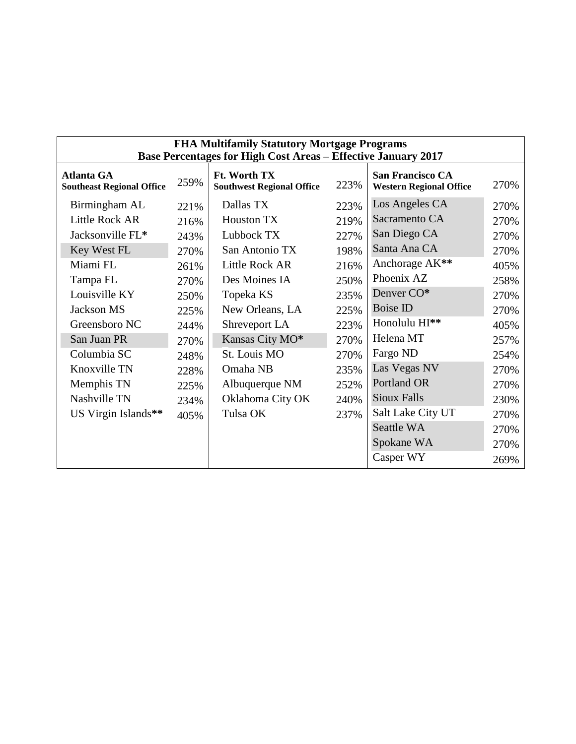| <b>FHA Multifamily Statutory Mortgage Programs</b><br><b>Base Percentages for High Cost Areas - Effective January 2017</b> |      |                                                  |      |                                                           |      |  |  |
|----------------------------------------------------------------------------------------------------------------------------|------|--------------------------------------------------|------|-----------------------------------------------------------|------|--|--|
| <b>Atlanta GA</b><br><b>Southeast Regional Office</b>                                                                      | 259% | Ft. Worth TX<br><b>Southwest Regional Office</b> | 223% | <b>San Francisco CA</b><br><b>Western Regional Office</b> | 270% |  |  |
| Birmingham AL                                                                                                              | 221% | Dallas TX                                        | 223% | Los Angeles CA                                            | 270% |  |  |
| <b>Little Rock AR</b>                                                                                                      | 216% | <b>Houston TX</b>                                | 219% | Sacramento CA                                             | 270% |  |  |
| Jacksonville FL*                                                                                                           | 243% | Lubbock TX                                       | 227% | San Diego CA                                              | 270% |  |  |
| Key West FL                                                                                                                | 270% | San Antonio TX                                   | 198% | Santa Ana CA                                              | 270% |  |  |
| Miami FL                                                                                                                   | 261% | Little Rock AR                                   | 216% | Anchorage AK**                                            | 405% |  |  |
| Tampa FL                                                                                                                   | 270% | Des Moines IA                                    | 250% | Phoenix AZ                                                | 258% |  |  |
| Louisville KY                                                                                                              | 250% | Topeka KS                                        | 235% | Denver CO*                                                | 270% |  |  |
| Jackson MS                                                                                                                 | 225% | New Orleans, LA                                  | 225% | <b>Boise ID</b>                                           | 270% |  |  |
| Greensboro NC                                                                                                              | 244% | Shreveport LA                                    | 223% | Honolulu HI**                                             | 405% |  |  |
| San Juan PR                                                                                                                | 270% | Kansas City MO*                                  | 270% | Helena MT                                                 | 257% |  |  |
| Columbia SC                                                                                                                | 248% | St. Louis MO                                     | 270% | Fargo ND                                                  | 254% |  |  |
| Knoxville TN                                                                                                               | 228% | Omaha NB                                         | 235% | Las Vegas NV                                              | 270% |  |  |
| Memphis TN                                                                                                                 | 225% | Albuquerque NM                                   | 252% | Portland OR                                               | 270% |  |  |
| Nashville TN                                                                                                               | 234% | Oklahoma City OK                                 | 240% | <b>Sioux Falls</b>                                        | 230% |  |  |
| US Virgin Islands**                                                                                                        | 405% | Tulsa OK                                         | 237% | Salt Lake City UT                                         | 270% |  |  |
|                                                                                                                            |      |                                                  |      | Seattle WA                                                | 270% |  |  |
|                                                                                                                            |      |                                                  |      | Spokane WA                                                | 270% |  |  |
|                                                                                                                            |      |                                                  |      | Casper WY                                                 | 269% |  |  |